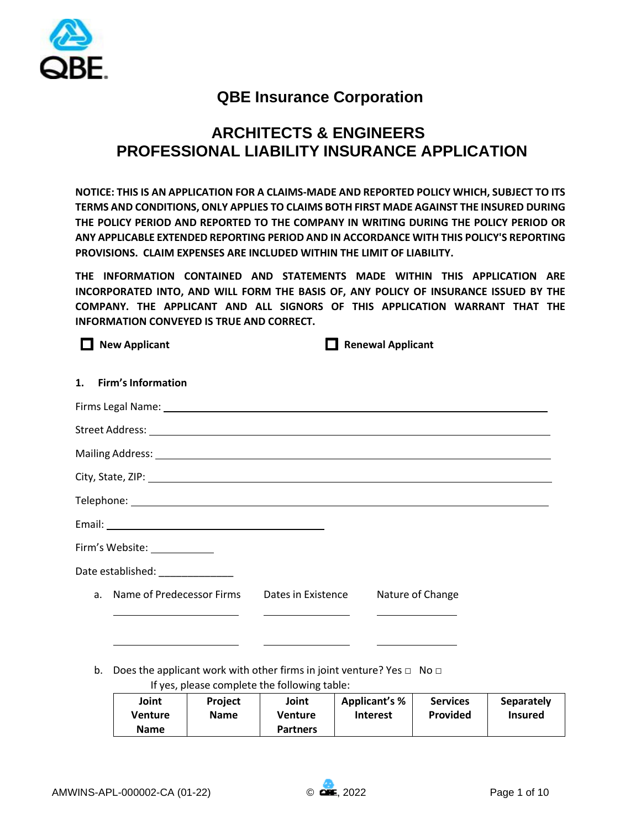

# **QBE Insurance Corporation**

# **ARCHITECTS & ENGINEERS PROFESSIONAL LIABILITY INSURANCE APPLICATION**

**NOTICE: THIS IS AN APPLICATION FOR A CLAIMS-MADE AND REPORTED POLICY WHICH, SUBJECT TO ITS TERMS AND CONDITIONS, ONLY APPLIES TO CLAIMS BOTH FIRST MADE AGAINST THE INSURED DURING THE POLICY PERIOD AND REPORTED TO THE COMPANY IN WRITING DURING THE POLICY PERIOD OR ANY APPLICABLE EXTENDED REPORTING PERIOD AND IN ACCORDANCE WITH THIS POLICY'S REPORTING PROVISIONS. CLAIM EXPENSES ARE INCLUDED WITHIN THE LIMIT OF LIABILITY.** 

**THE INFORMATION CONTAINED AND STATEMENTS MADE WITHIN THIS APPLICATION ARE INCORPORATED INTO, AND WILL FORM THE BASIS OF, ANY POLICY OF INSURANCE ISSUED BY THE COMPANY. THE APPLICANT AND ALL SIGNORS OF THIS APPLICATION WARRANT THAT THE INFORMATION CONVEYED IS TRUE AND CORRECT.** 

**New Applicant Renewal Applicant 1. Firm's Information** Firms Legal Name: Street Address: Mailing Address: City, State, ZIP: Telephone:

Email: Firm's Website: Date established: a. Name of Predecessor Firms Dates in Existence Nature of Change

b. Does the applicant work with other firms in joint venture? Yes  $\Box$  No  $\Box$ 

If yes, please complete the following table:

| Joint   | <b>Project</b> | Joint           | <b>Applicant's %</b> | <b>Services</b> | <b>Separately</b> |
|---------|----------------|-----------------|----------------------|-----------------|-------------------|
| Venture | <b>Name</b>    | <b>Venture</b>  | <b>Interest</b>      | Provided        | <b>Insured</b>    |
| Name    |                | <b>Partners</b> |                      |                 |                   |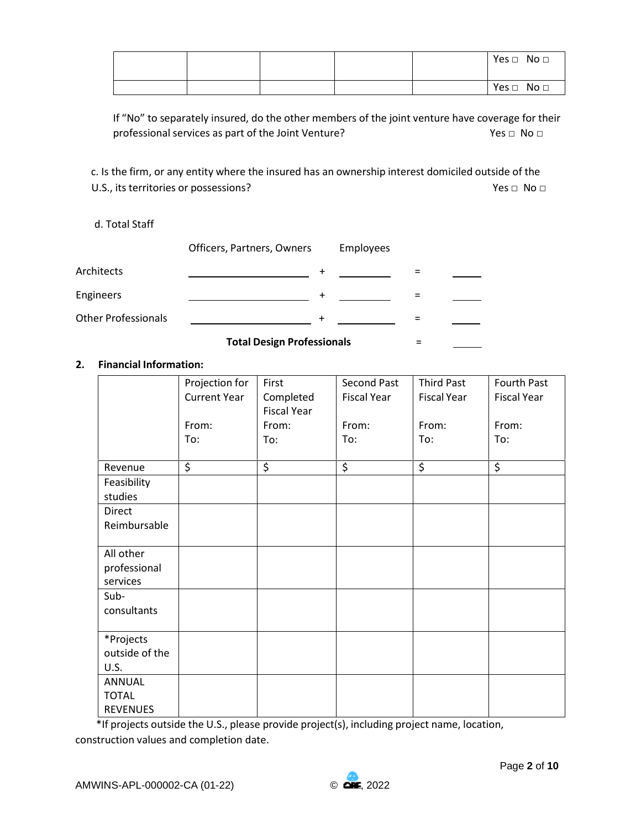|  |  | Yes $\Box$ No $\Box$ |
|--|--|----------------------|
|  |  | Yes $\Box$ No $\Box$ |

If "No" to separately insured, do the other members of the joint venture have coverage for their professional services as part of the Joint Venture? Yes □ No □

c. Is the firm, or any entity where the insured has an ownership interest domiciled outside of the U.S., its territories or possessions? The set of the set of the set of the set of the set of the set of the set of the set of the set of the set of the set of the set of the set of the set of the set of the set of the set

# d. Total Staff

|                            | Officers, Partners, Owners | Employees |  |
|----------------------------|----------------------------|-----------|--|
| Architects                 |                            |           |  |
| <b>Engineers</b>           |                            |           |  |
| <b>Other Professionals</b> |                            |           |  |
|                            |                            |           |  |

## **Total Design Professionals** =

# **2. Financial Information:**

|                 | Projection for         | First              | Second Past              | <b>Third Past</b>        | Fourth Past              |
|-----------------|------------------------|--------------------|--------------------------|--------------------------|--------------------------|
|                 | <b>Current Year</b>    | Completed          | <b>Fiscal Year</b>       | <b>Fiscal Year</b>       | <b>Fiscal Year</b>       |
|                 |                        | <b>Fiscal Year</b> |                          |                          |                          |
|                 | From:                  | From:              | From:                    | From:                    | From:                    |
|                 | To:                    | To:                | To:                      | To:                      | To:                      |
|                 |                        |                    |                          |                          |                          |
| Revenue         | $\overline{\varsigma}$ | \$                 | $\overline{\mathcal{S}}$ | $\overline{\mathcal{L}}$ | $\overline{\mathcal{S}}$ |
| Feasibility     |                        |                    |                          |                          |                          |
| studies         |                        |                    |                          |                          |                          |
| Direct          |                        |                    |                          |                          |                          |
| Reimbursable    |                        |                    |                          |                          |                          |
|                 |                        |                    |                          |                          |                          |
| All other       |                        |                    |                          |                          |                          |
| professional    |                        |                    |                          |                          |                          |
| services        |                        |                    |                          |                          |                          |
| Sub-            |                        |                    |                          |                          |                          |
| consultants     |                        |                    |                          |                          |                          |
|                 |                        |                    |                          |                          |                          |
| *Projects       |                        |                    |                          |                          |                          |
| outside of the  |                        |                    |                          |                          |                          |
| U.S.            |                        |                    |                          |                          |                          |
| ANNUAL          |                        |                    |                          |                          |                          |
| <b>TOTAL</b>    |                        |                    |                          |                          |                          |
| <b>REVENUES</b> |                        |                    |                          |                          |                          |

\*If projects outside the U.S., please provide project(s), including project name, location, construction values and completion date.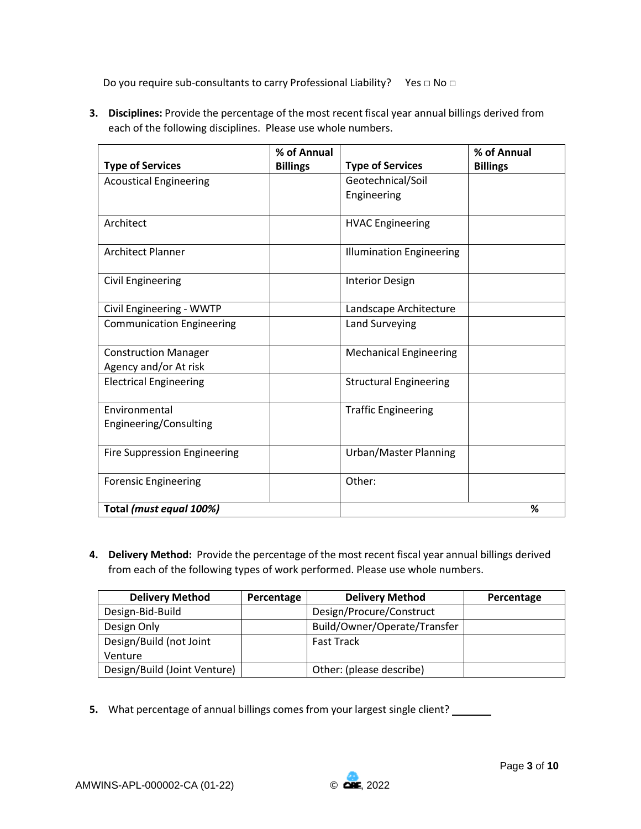Do you require sub-consultants to carry Professional Liability? Yes □ No □

**3. Disciplines:** Provide the percentage of the most recent fiscal year annual billings derived from each of the following disciplines. Please use whole numbers.

|                                     | % of Annual     |                                 | % of Annual     |
|-------------------------------------|-----------------|---------------------------------|-----------------|
| <b>Type of Services</b>             | <b>Billings</b> | <b>Type of Services</b>         | <b>Billings</b> |
| <b>Acoustical Engineering</b>       |                 | Geotechnical/Soil               |                 |
|                                     |                 | Engineering                     |                 |
|                                     |                 |                                 |                 |
| Architect                           |                 | <b>HVAC Engineering</b>         |                 |
|                                     |                 |                                 |                 |
| <b>Architect Planner</b>            |                 | <b>Illumination Engineering</b> |                 |
|                                     |                 |                                 |                 |
| <b>Civil Engineering</b>            |                 | <b>Interior Design</b>          |                 |
|                                     |                 |                                 |                 |
| Civil Engineering - WWTP            |                 | Landscape Architecture          |                 |
| <b>Communication Engineering</b>    |                 | Land Surveying                  |                 |
|                                     |                 |                                 |                 |
| <b>Construction Manager</b>         |                 | <b>Mechanical Engineering</b>   |                 |
| Agency and/or At risk               |                 |                                 |                 |
| <b>Electrical Engineering</b>       |                 | <b>Structural Engineering</b>   |                 |
|                                     |                 |                                 |                 |
| Environmental                       |                 | <b>Traffic Engineering</b>      |                 |
| Engineering/Consulting              |                 |                                 |                 |
|                                     |                 |                                 |                 |
| <b>Fire Suppression Engineering</b> |                 | Urban/Master Planning           |                 |
|                                     |                 |                                 |                 |
| <b>Forensic Engineering</b>         |                 | Other:                          |                 |
|                                     |                 |                                 |                 |
| Total (must equal 100%)             |                 |                                 | %               |

**4. Delivery Method:** Provide the percentage of the most recent fiscal year annual billings derived from each of the following types of work performed. Please use whole numbers.

| <b>Delivery Method</b>       | Percentage | <b>Delivery Method</b>       | Percentage |
|------------------------------|------------|------------------------------|------------|
| Design-Bid-Build             |            | Design/Procure/Construct     |            |
| Design Only                  |            | Build/Owner/Operate/Transfer |            |
| Design/Build (not Joint      |            | <b>Fast Track</b>            |            |
| Venture                      |            |                              |            |
| Design/Build (Joint Venture) |            | Other: (please describe)     |            |

**5.** What percentage of annual billings comes from your largest single client? \_\_\_\_\_\_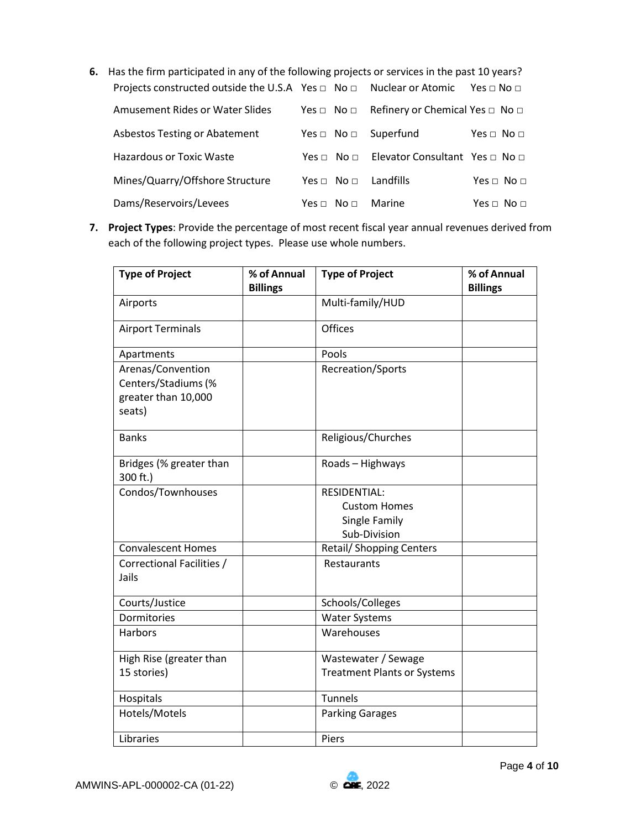**6.** Has the firm participated in any of the following projects or services in the past 10 years? Projects constructed outside the U.S.A Yes □ No □ Nuclear or Atomic Yes □ No □

| Amusement Rides or Water Slides      |                                | Yes $\Box$ No $\Box$ Refinery or Chemical Yes $\Box$ No $\Box$ |                      |
|--------------------------------------|--------------------------------|----------------------------------------------------------------|----------------------|
| <b>Asbestos Testing or Abatement</b> | Yes $\Box$ No $\Box$ Superfund |                                                                | Yes $\Box$ No $\Box$ |
| <b>Hazardous or Toxic Waste</b>      |                                | Yes □ No □ Elevator Consultant Yes □ No □                      |                      |
| Mines/Quarry/Offshore Structure      | Yes $\Box$ No $\Box$ Landfills |                                                                | Yes $\Box$ No $\Box$ |
| Dams/Reservoirs/Levees               | $Yes \Box No \Box$ Marine      |                                                                | Yes $\Box$ No $\Box$ |

**7. Project Types**: Provide the percentage of most recent fiscal year annual revenues derived from each of the following project types. Please use whole numbers.

| <b>Type of Project</b>                                                    | % of Annual<br><b>Billings</b> | <b>Type of Project</b>                                               | % of Annual<br><b>Billings</b> |
|---------------------------------------------------------------------------|--------------------------------|----------------------------------------------------------------------|--------------------------------|
| Airports                                                                  |                                | Multi-family/HUD                                                     |                                |
| <b>Airport Terminals</b>                                                  |                                | <b>Offices</b>                                                       |                                |
| Apartments                                                                |                                | Pools                                                                |                                |
| Arenas/Convention<br>Centers/Stadiums (%<br>greater than 10,000<br>seats) |                                | Recreation/Sports                                                    |                                |
| <b>Banks</b>                                                              |                                | Religious/Churches                                                   |                                |
| Bridges (% greater than<br>300 ft.)                                       |                                | Roads - Highways                                                     |                                |
| Condos/Townhouses                                                         |                                | RESIDENTIAL:<br><b>Custom Homes</b><br>Single Family<br>Sub-Division |                                |
| <b>Convalescent Homes</b>                                                 |                                | <b>Retail/ Shopping Centers</b>                                      |                                |
| Correctional Facilities /<br>Jails                                        |                                | Restaurants                                                          |                                |
| Courts/Justice                                                            |                                | Schools/Colleges                                                     |                                |
| Dormitories                                                               |                                | <b>Water Systems</b>                                                 |                                |
| <b>Harbors</b>                                                            |                                | Warehouses                                                           |                                |
| High Rise (greater than<br>15 stories)                                    |                                | Wastewater / Sewage<br><b>Treatment Plants or Systems</b>            |                                |
| Hospitals                                                                 |                                | <b>Tunnels</b>                                                       |                                |
| Hotels/Motels                                                             |                                | <b>Parking Garages</b>                                               |                                |
| Libraries                                                                 |                                | Piers                                                                |                                |

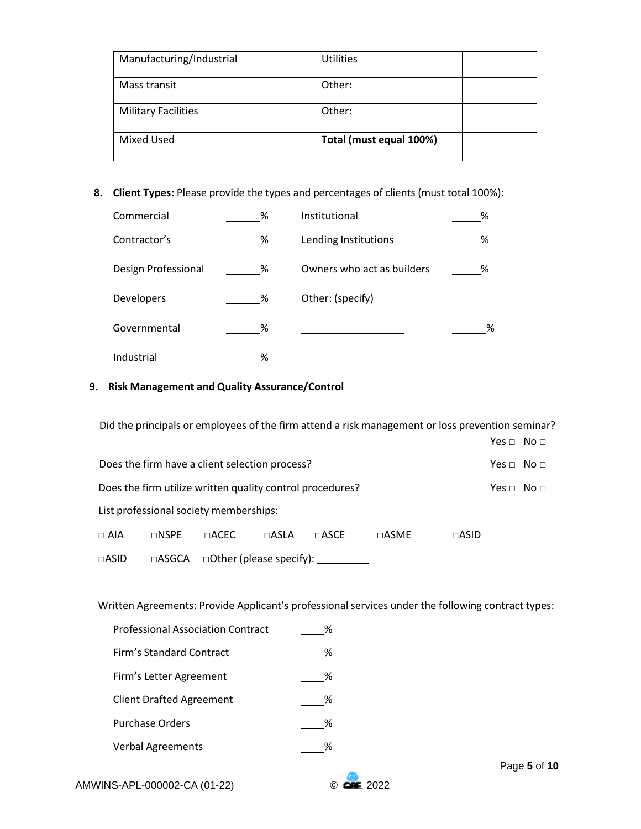| Manufacturing/Industrial   | <b>Utilities</b>        |  |
|----------------------------|-------------------------|--|
| Mass transit               | Other:                  |  |
| <b>Military Facilities</b> | Other:                  |  |
| <b>Mixed Used</b>          | Total (must equal 100%) |  |

**8. Client Types:** Please provide the types and percentages of clients (must total 100%):

| Commercial          | % | Institutional              | % |
|---------------------|---|----------------------------|---|
| Contractor's        | % | Lending Institutions       | % |
| Design Professional | % | Owners who act as builders | % |
| Developers          | % | Other: (specify)           |   |
| Governmental        | % |                            | % |
| Industrial          | ℅ |                            |   |

# **9. Risk Management and Quality Assurance/Control**

Did the principals or employees of the firm attend a risk management or loss prevention seminar?

|                                                           |                                                |                          |               |               |                    |               | $Yes \Box No \Box$ |  |
|-----------------------------------------------------------|------------------------------------------------|--------------------------|---------------|---------------|--------------------|---------------|--------------------|--|
|                                                           | Does the firm have a client selection process? |                          |               |               |                    |               | $Yes \Box No \Box$ |  |
| Does the firm utilize written quality control procedures? |                                                |                          |               |               | $Yes \Box No \Box$ |               |                    |  |
| List professional society memberships:                    |                                                |                          |               |               |                    |               |                    |  |
| $\sqcap$ AIA                                              | $\sqcap$ NSPE                                  | $\sqcap$ ACEC            | $\sqcap$ ASLA | $\sqcap$ ASCE | $\sqcap$ ASME      | $\sqcap$ ASID |                    |  |
| $\Box$ ASID                                               | $\Box$ ASGCA                                   | □Other (please specify): |               |               |                    |               |                    |  |

Written Agreements: Provide Applicant's professional services under the following contract types:

| <b>Professional Association Contract</b> | ℅ |
|------------------------------------------|---|
| Firm's Standard Contract                 | ℅ |
| Firm's Letter Agreement                  | ℅ |
| <b>Client Drafted Agreement</b>          | % |
| <b>Purchase Orders</b>                   | % |
| <b>Verbal Agreements</b>                 |   |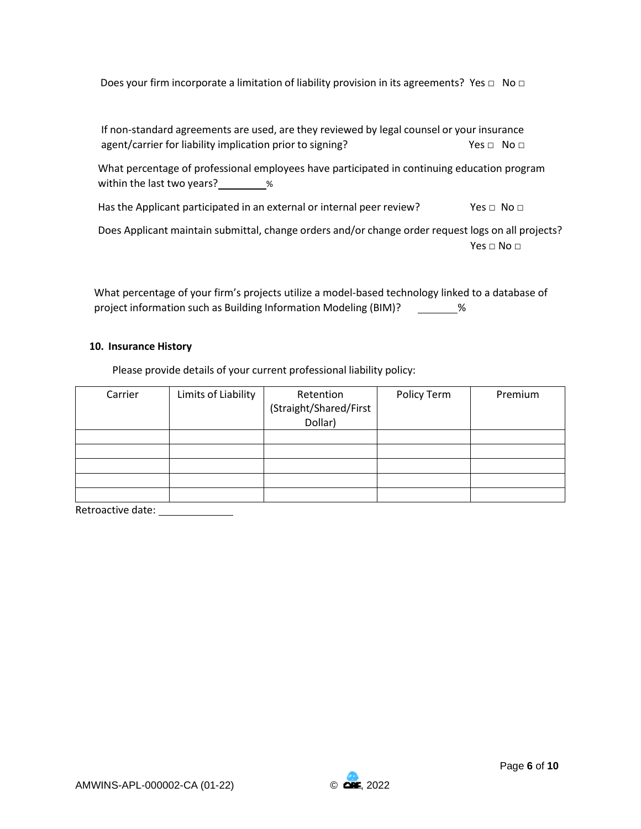| Does your firm incorporate a limitation of liability provision in its agreements? Yes $\Box$ No $\Box$ |  |  |  |  |
|--------------------------------------------------------------------------------------------------------|--|--|--|--|
|                                                                                                        |  |  |  |  |

If non-standard agreements are used, are they reviewed by legal counsel or your insurance agent/carrier for liability implication prior to signing?  $Yes \Box \ No \Box$ 

What percentage of professional employees have participated in continuing education program within the last two years? $\frac{1}{2}$  %

Has the Applicant participated in an external or internal peer review? Yes  $\Box$  No  $\Box$ 

Does Applicant maintain submittal, change orders and/or change order request logs on all projects? Yes  $\Box$  No  $\Box$ 

What percentage of your firm's projects utilize a model-based technology linked to a database of project information such as Building Information Modeling (BIM)? \_\_\_\_\_\_\_\_%

## **10. Insurance History**

Please provide details of your current professional liability policy:

| Carrier | Limits of Liability | Retention              | Policy Term | Premium |
|---------|---------------------|------------------------|-------------|---------|
|         |                     | (Straight/Shared/First |             |         |
|         |                     | Dollar)                |             |         |
|         |                     |                        |             |         |
|         |                     |                        |             |         |
|         |                     |                        |             |         |
|         |                     |                        |             |         |
|         |                     |                        |             |         |

Retroactive date: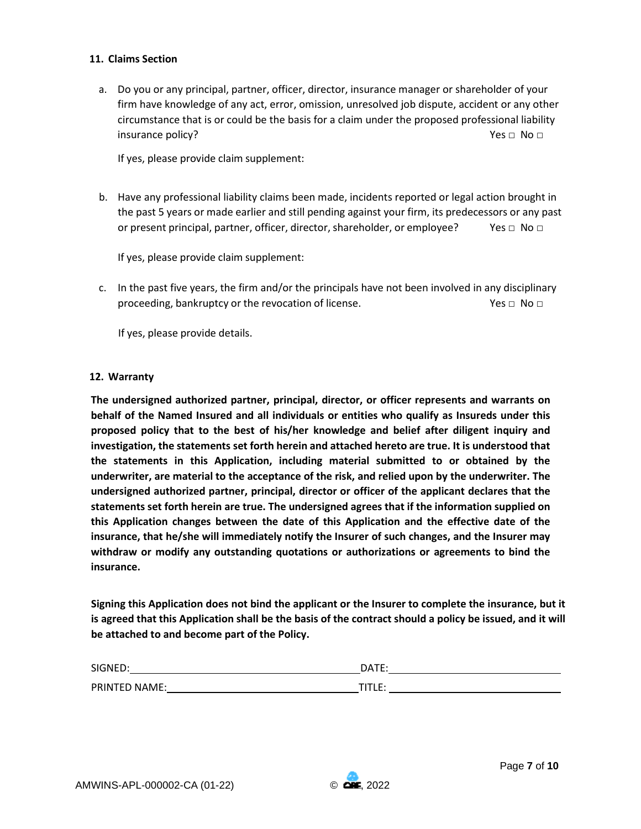## **11. Claims Section**

a. Do you or any principal, partner, officer, director, insurance manager or shareholder of your firm have knowledge of any act, error, omission, unresolved job dispute, accident or any other circumstance that is or could be the basis for a claim under the proposed professional liability insurance policy? Yes □ No □

If yes, please provide claim supplement:

b. Have any professional liability claims been made, incidents reported or legal action brought in the past 5 years or made earlier and still pending against your firm, its predecessors or any past or present principal, partner, officer, director, shareholder, or employee? Yes  $\Box$  No  $\Box$ 

If yes, please provide claim supplement:

c. In the past five years, the firm and/or the principals have not been involved in any disciplinary proceeding, bankruptcy or the revocation of license. Yes □ No □

If yes, please provide details.

## **12. Warranty**

**The undersigned authorized partner, principal, director, or officer represents and warrants on behalf of the Named Insured and all individuals or entities who qualify as Insureds under this proposed policy that to the best of his/her knowledge and belief after diligent inquiry and investigation, the statements set forth herein and attached hereto are true. It is understood that the statements in this Application, including material submitted to or obtained by the underwriter, are material to the acceptance of the risk, and relied upon by the underwriter. The undersigned authorized partner, principal, director or officer of the applicant declares that the statements set forth herein are true. The undersigned agrees that if the information supplied on this Application changes between the date of this Application and the effective date of the insurance, that he/she will immediately notify the Insurer of such changes, and the Insurer may withdraw or modify any outstanding quotations or authorizations or agreements to bind the insurance.** 

**Signing this Application does not bind the applicant or the Insurer to complete the insurance, but it is agreed that this Application shall be the basis of the contract should a policy be issued, and it will be attached to and become part of the Policy.** 

| SIGNED:              | DATE<br>-- |
|----------------------|------------|
| <b>PRINTED NAME:</b> | .          |

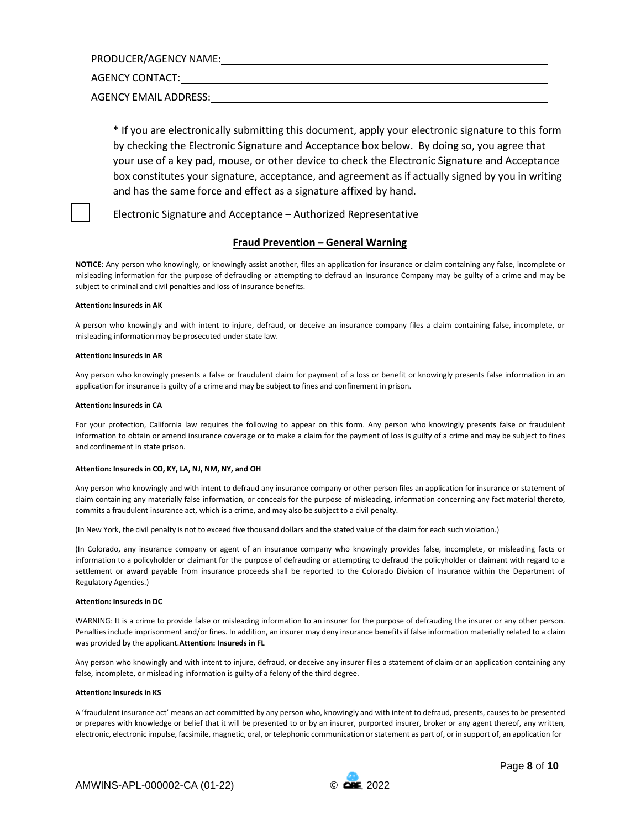PRODUCER/AGENCY NAME:

AGENCY CONTACT:

AGENCY EMAIL ADDRESS:

\* If you are electronically submitting this document, apply your electronic signature to this form by checking the Electronic Signature and Acceptance box below. By doing so, you agree that your use of a key pad, mouse, or other device to check the Electronic Signature and Acceptance box constitutes your signature, acceptance, and agreement as if actually signed by you in writing and has the same force and effect as a signature affixed by hand.

Electronic Signature and Acceptance – Authorized Representative

### **Fraud Prevention – General Warning**

**NOTICE**: Any person who knowingly, or knowingly assist another, files an application for insurance or claim containing any false, incomplete or misleading information for the purpose of defrauding or attempting to defraud an Insurance Company may be guilty of a crime and may be subject to criminal and civil penalties and loss of insurance benefits.

#### **Attention: Insureds in AK**

A person who knowingly and with intent to injure, defraud, or deceive an insurance company files a claim containing false, incomplete, or misleading information may be prosecuted under state law.

#### **Attention: Insureds in AR**

Any person who knowingly presents a false or fraudulent claim for payment of a loss or benefit or knowingly presents false information in an application for insurance is guilty of a crime and may be subject to fines and confinement in prison.

#### **Attention: Insureds in CA**

For your protection, California law requires the following to appear on this form. Any person who knowingly presents false or fraudulent information to obtain or amend insurance coverage or to make a claim for the payment of loss is guilty of a crime and may be subject to fines and confinement in state prison.

#### **Attention: Insureds in CO, KY, LA, NJ, NM, NY, and OH**

Any person who knowingly and with intent to defraud any insurance company or other person files an application for insurance or statement of claim containing any materially false information, or conceals for the purpose of misleading, information concerning any fact material thereto, commits a fraudulent insurance act, which is a crime, and may also be subject to a civil penalty.

(In New York, the civil penalty is not to exceed five thousand dollars and the stated value of the claim for each such violation.)

(In Colorado, any insurance company or agent of an insurance company who knowingly provides false, incomplete, or misleading facts or information to a policyholder or claimant for the purpose of defrauding or attempting to defraud the policyholder or claimant with regard to a settlement or award payable from insurance proceeds shall be reported to the Colorado Division of Insurance within the Department of Regulatory Agencies.)

#### **Attention: Insureds in DC**

WARNING: It is a crime to provide false or misleading information to an insurer for the purpose of defrauding the insurer or any other person. Penalties include imprisonment and/or fines. In addition, an insurer may deny insurance benefits if false information materially related to a claim was provided by the applicant.**Attention: Insureds in FL** 

Any person who knowingly and with intent to injure, defraud, or deceive any insurer files a statement of claim or an application containing any false, incomplete, or misleading information is guilty of a felony of the third degree.

#### **Attention: Insureds in KS**

A 'fraudulent insurance act' means an act committed by any person who, knowingly and with intent to defraud, presents, causes to be presented or prepares with knowledge or belief that it will be presented to or by an insurer, purported insurer, broker or any agent thereof, any written, electronic, electronic impulse, facsimile, magnetic, oral, or telephonic communication or statement as part of, or in support of, an application for



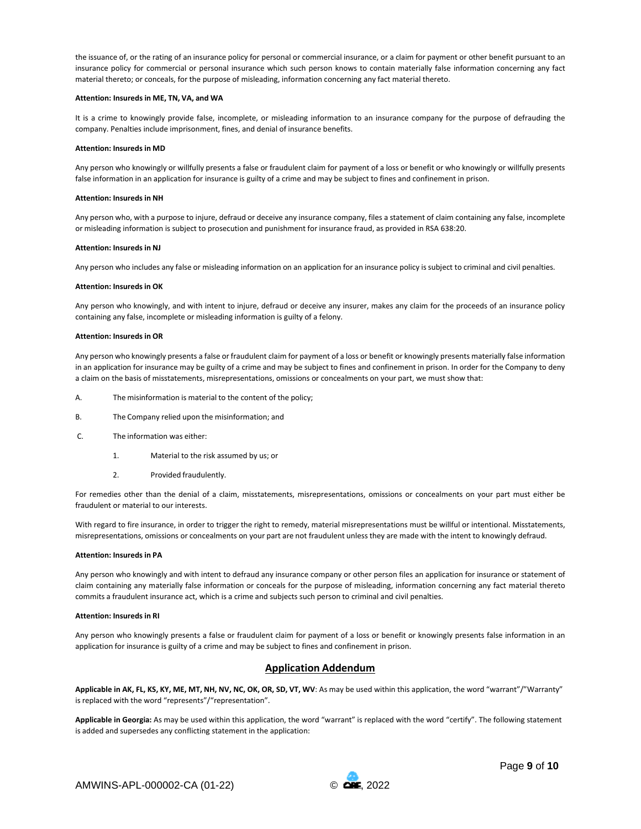the issuance of, or the rating of an insurance policy for personal or commercial insurance, or a claim for payment or other benefit pursuant to an insurance policy for commercial or personal insurance which such person knows to contain materially false information concerning any fact material thereto; or conceals, for the purpose of misleading, information concerning any fact material thereto.

#### **Attention: Insureds in ME, TN, VA, and WA**

It is a crime to knowingly provide false, incomplete, or misleading information to an insurance company for the purpose of defrauding the company. Penalties include imprisonment, fines, and denial of insurance benefits.

#### **Attention: Insureds in MD**

Any person who knowingly or willfully presents a false or fraudulent claim for payment of a loss or benefit or who knowingly or willfully presents false information in an application for insurance is guilty of a crime and may be subject to fines and confinement in prison.

#### **Attention: Insureds in NH**

Any person who, with a purpose to injure, defraud or deceive any insurance company, files a statement of claim containing any false, incomplete or misleading information is subject to prosecution and punishment for insurance fraud, as provided in RSA 638:20.

#### **Attention: Insureds in NJ**

Any person who includes any false or misleading information on an application for an insurance policy is subject to criminal and civil penalties.

#### **Attention: Insureds in OK**

Any person who knowingly, and with intent to injure, defraud or deceive any insurer, makes any claim for the proceeds of an insurance policy containing any false, incomplete or misleading information is guilty of a felony.

#### **Attention: Insureds in OR**

Any person who knowingly presents a false or fraudulent claim for payment of a loss or benefit or knowingly presents materially false information in an application for insurance may be guilty of a crime and may be subject to fines and confinement in prison. In order for the Company to deny a claim on the basis of misstatements, misrepresentations, omissions or concealments on your part, we must show that:

- A. The misinformation is material to the content of the policy;
- B. The Company relied upon the misinformation; and
- C. The information was either:
	- 1. Material to the risk assumed by us; or
	- 2. Provided fraudulently.

For remedies other than the denial of a claim, misstatements, misrepresentations, omissions or concealments on your part must either be fraudulent or material to our interests.

With regard to fire insurance, in order to trigger the right to remedy, material misrepresentations must be willful or intentional. Misstatements, misrepresentations, omissions or concealments on your part are not fraudulent unless they are made with the intent to knowingly defraud.

#### **Attention: Insureds in PA**

Any person who knowingly and with intent to defraud any insurance company or other person files an application for insurance or statement of claim containing any materially false information or conceals for the purpose of misleading, information concerning any fact material thereto commits a fraudulent insurance act, which is a crime and subjects such person to criminal and civil penalties.

#### **Attention: Insureds in RI**

Any person who knowingly presents a false or fraudulent claim for payment of a loss or benefit or knowingly presents false information in an application for insurance is guilty of a crime and may be subject to fines and confinement in prison.

### **Application Addendum**

**Applicable in AK, FL, KS, KY, ME, MT, NH, NV, NC, OK, OR, SD, VT, WV**: As may be used within this application, the word "warrant"/"Warranty" is replaced with the word "represents"/"representation".

**Applicable in Georgia:** As may be used within this application, the word "warrant" is replaced with the word "certify". The following statement is added and supersedes any conflicting statement in the application: